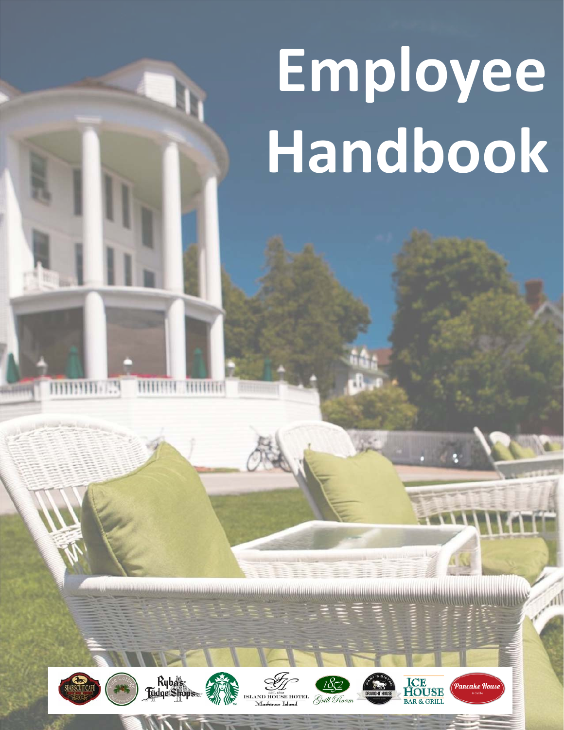# **Employee Handbook**



**MUNITE** 



**HIHHH** 

**TITITITITI** 









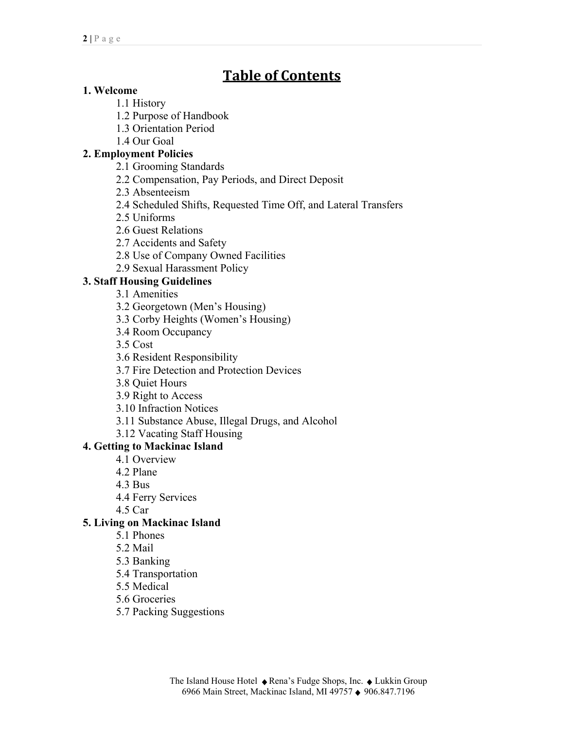# **Table of Contents**

# **1. Welcome**

1.1 History

- 1.2 Purpose of Handbook
- 1.3 Orientation Period
- 1.4 Our Goal

# **2. Employment Policies**

- 2.1 Grooming Standards
- 2.2 Compensation, Pay Periods, and Direct Deposit
- 2.3 Absenteeism
- 2.4 Scheduled Shifts, Requested Time Off, and Lateral Transfers
- 2.5 Uniforms
- 2.6 Guest Relations
- 2.7 Accidents and Safety
- 2.8 Use of Company Owned Facilities
- 2.9 Sexual Harassment Policy

# **3. Staff Housing Guidelines**

- 3.1 Amenities
- 3.2 Georgetown (Men's Housing)
- 3.3 Corby Heights (Women's Housing)
- 3.4 Room Occupancy
- 3.5 Cost
- 3.6 Resident Responsibility
- 3.7 Fire Detection and Protection Devices
- 3.8 Quiet Hours
- 3.9 Right to Access
- 3.10 Infraction Notices
- 3.11 Substance Abuse, Illegal Drugs, and Alcohol
- 3.12 Vacating Staff Housing

## **4. Getting to Mackinac Island**

- 4.1 Overview
- 4.2 Plane
- 4.3 Bus
- 4.4 Ferry Services
- 4.5 Car

## **5. Living on Mackinac Island**

- 5.1 Phones
- 5.2 Mail
- 5.3 Banking
- 5.4 Transportation
- 5.5 Medical
- 5.6 Groceries
- 5.7 Packing Suggestions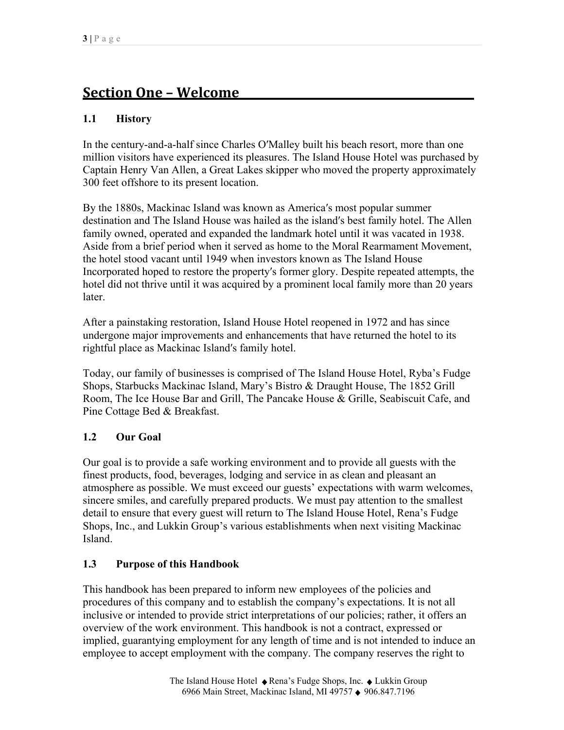# **Section One – Welcome\_\_\_\_\_\_\_\_\_\_\_\_\_\_\_\_\_\_\_\_\_\_\_\_\_\_\_\_\_\_\_\_\_\_\_\_\_\_\_\_\_\_\_**

# **1.1 History**

In the century-and-a-half since Charles O′Malley built his beach resort, more than one million visitors have experienced its pleasures. The Island House Hotel was purchased by Captain Henry Van Allen, a Great Lakes skipper who moved the property approximately 300 feet offshore to its present location.

By the 1880s, Mackinac Island was known as America′s most popular summer destination and The Island House was hailed as the island′s best family hotel. The Allen family owned, operated and expanded the landmark hotel until it was vacated in 1938. Aside from a brief period when it served as home to the Moral Rearmament Movement, the hotel stood vacant until 1949 when investors known as The Island House Incorporated hoped to restore the property′s former glory. Despite repeated attempts, the hotel did not thrive until it was acquired by a prominent local family more than 20 years later.

After a painstaking restoration, Island House Hotel reopened in 1972 and has since undergone major improvements and enhancements that have returned the hotel to its rightful place as Mackinac Island′s family hotel.

Today, our family of businesses is comprised of The Island House Hotel, Ryba's Fudge Shops, Starbucks Mackinac Island, Mary's Bistro & Draught House, The 1852 Grill Room, The Ice House Bar and Grill, The Pancake House & Grille, Seabiscuit Cafe, and Pine Cottage Bed & Breakfast.

# **1.2 Our Goal**

Our goal is to provide a safe working environment and to provide all guests with the finest products, food, beverages, lodging and service in as clean and pleasant an atmosphere as possible. We must exceed our guests' expectations with warm welcomes, sincere smiles, and carefully prepared products. We must pay attention to the smallest detail to ensure that every guest will return to The Island House Hotel, Rena's Fudge Shops, Inc., and Lukkin Group's various establishments when next visiting Mackinac Island.

## **1.3 Purpose of this Handbook**

This handbook has been prepared to inform new employees of the policies and procedures of this company and to establish the company's expectations. It is not all inclusive or intended to provide strict interpretations of our policies; rather, it offers an overview of the work environment. This handbook is not a contract, expressed or implied, guarantying employment for any length of time and is not intended to induce an employee to accept employment with the company. The company reserves the right to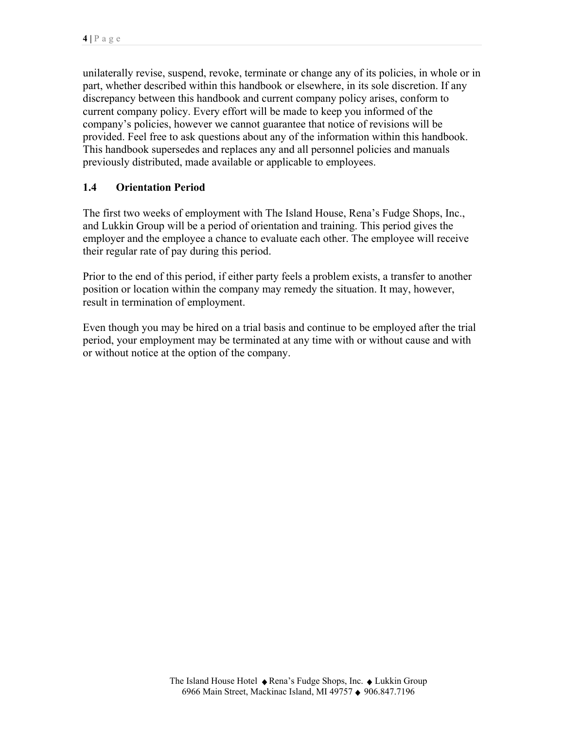unilaterally revise, suspend, revoke, terminate or change any of its policies, in whole or in part, whether described within this handbook or elsewhere, in its sole discretion. If any discrepancy between this handbook and current company policy arises, conform to current company policy. Every effort will be made to keep you informed of the company's policies, however we cannot guarantee that notice of revisions will be provided. Feel free to ask questions about any of the information within this handbook. This handbook supersedes and replaces any and all personnel policies and manuals previously distributed, made available or applicable to employees.

# **1.4 Orientation Period**

The first two weeks of employment with The Island House, Rena's Fudge Shops, Inc., and Lukkin Group will be a period of orientation and training. This period gives the employer and the employee a chance to evaluate each other. The employee will receive their regular rate of pay during this period.

Prior to the end of this period, if either party feels a problem exists, a transfer to another position or location within the company may remedy the situation. It may, however, result in termination of employment.

Even though you may be hired on a trial basis and continue to be employed after the trial period, your employment may be terminated at any time with or without cause and with or without notice at the option of the company.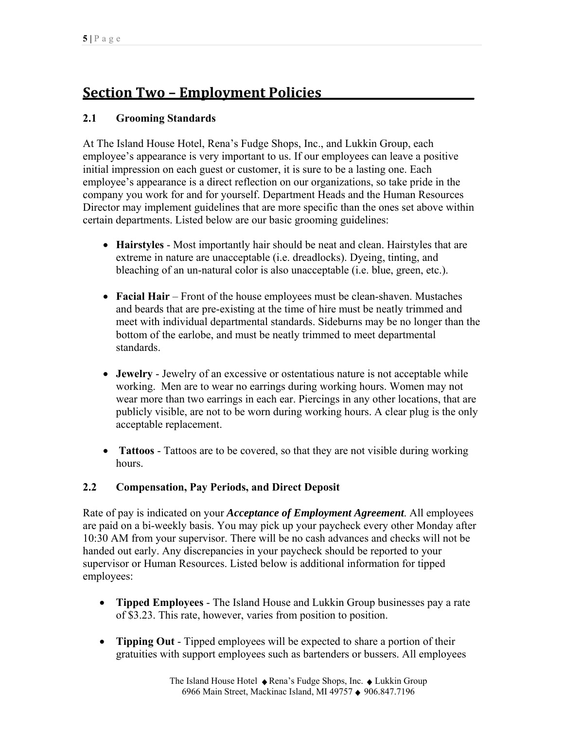# **Section Two – Employment Policies\_\_\_\_\_\_\_\_\_\_\_\_\_\_\_\_\_\_\_\_\_\_\_\_\_\_\_\_**

# **2.1 Grooming Standards**

At The Island House Hotel, Rena's Fudge Shops, Inc., and Lukkin Group, each employee's appearance is very important to us. If our employees can leave a positive initial impression on each guest or customer, it is sure to be a lasting one. Each employee's appearance is a direct reflection on our organizations, so take pride in the company you work for and for yourself. Department Heads and the Human Resources Director may implement guidelines that are more specific than the ones set above within certain departments. Listed below are our basic grooming guidelines:

- **Hairstyles** Most importantly hair should be neat and clean. Hairstyles that are extreme in nature are unacceptable (i.e. dreadlocks). Dyeing, tinting, and bleaching of an un-natural color is also unacceptable (i.e. blue, green, etc.).
- **Facial Hair** Front of the house employees must be clean-shaven. Mustaches and beards that are pre-existing at the time of hire must be neatly trimmed and meet with individual departmental standards. Sideburns may be no longer than the bottom of the earlobe, and must be neatly trimmed to meet departmental standards.
- **Jewelry** Jewelry of an excessive or ostentatious nature is not acceptable while working. Men are to wear no earrings during working hours. Women may not wear more than two earrings in each ear. Piercings in any other locations, that are publicly visible, are not to be worn during working hours. A clear plug is the only acceptable replacement.
- **Tattoos** Tattoos are to be covered, so that they are not visible during working hours.

## **2.2 Compensation, Pay Periods, and Direct Deposit**

Rate of pay is indicated on your *Acceptance of Employment Agreement*. All employees are paid on a bi-weekly basis. You may pick up your paycheck every other Monday after 10:30 AM from your supervisor. There will be no cash advances and checks will not be handed out early. Any discrepancies in your paycheck should be reported to your supervisor or Human Resources. Listed below is additional information for tipped employees:

- **Tipped Employees** The Island House and Lukkin Group businesses pay a rate of \$3.23. This rate, however, varies from position to position.
- **Tipping Out** Tipped employees will be expected to share a portion of their gratuities with support employees such as bartenders or bussers. All employees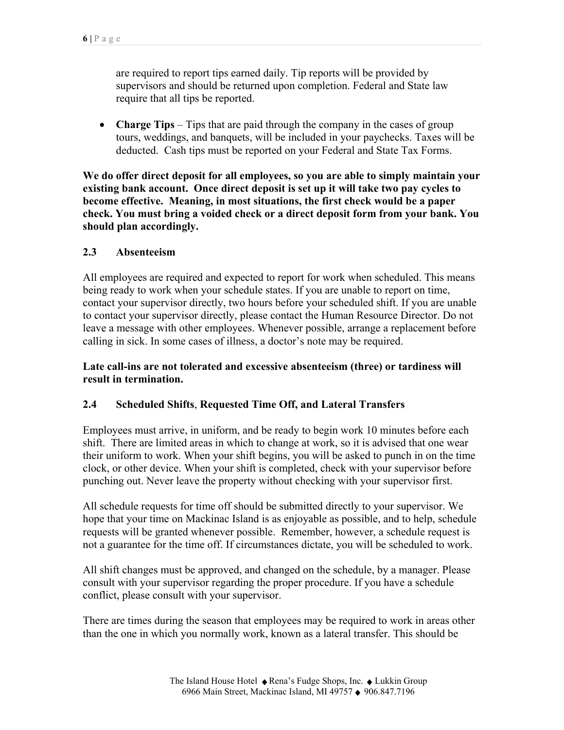are required to report tips earned daily. Tip reports will be provided by supervisors and should be returned upon completion. Federal and State law require that all tips be reported.

• **Charge Tips** – Tips that are paid through the company in the cases of group tours, weddings, and banquets, will be included in your paychecks. Taxes will be deducted. Cash tips must be reported on your Federal and State Tax Forms.

**We do offer direct deposit for all employees, so you are able to simply maintain your existing bank account. Once direct deposit is set up it will take two pay cycles to become effective. Meaning, in most situations, the first check would be a paper check. You must bring a voided check or a direct deposit form from your bank. You should plan accordingly.** 

#### **2.3 Absenteeism**

All employees are required and expected to report for work when scheduled. This means being ready to work when your schedule states. If you are unable to report on time, contact your supervisor directly, two hours before your scheduled shift. If you are unable to contact your supervisor directly, please contact the Human Resource Director. Do not leave a message with other employees. Whenever possible, arrange a replacement before calling in sick. In some cases of illness, a doctor's note may be required.

**Late call-ins are not tolerated and excessive absenteeism (three) or tardiness will result in termination.**

## **2.4 Scheduled Shifts**, **Requested Time Off, and Lateral Transfers**

Employees must arrive, in uniform, and be ready to begin work 10 minutes before each shift. There are limited areas in which to change at work, so it is advised that one wear their uniform to work. When your shift begins, you will be asked to punch in on the time clock, or other device. When your shift is completed, check with your supervisor before punching out. Never leave the property without checking with your supervisor first.

All schedule requests for time off should be submitted directly to your supervisor. We hope that your time on Mackinac Island is as enjoyable as possible, and to help, schedule requests will be granted whenever possible. Remember, however, a schedule request is not a guarantee for the time off. If circumstances dictate, you will be scheduled to work.

All shift changes must be approved, and changed on the schedule, by a manager. Please consult with your supervisor regarding the proper procedure. If you have a schedule conflict, please consult with your supervisor.

There are times during the season that employees may be required to work in areas other than the one in which you normally work, known as a lateral transfer. This should be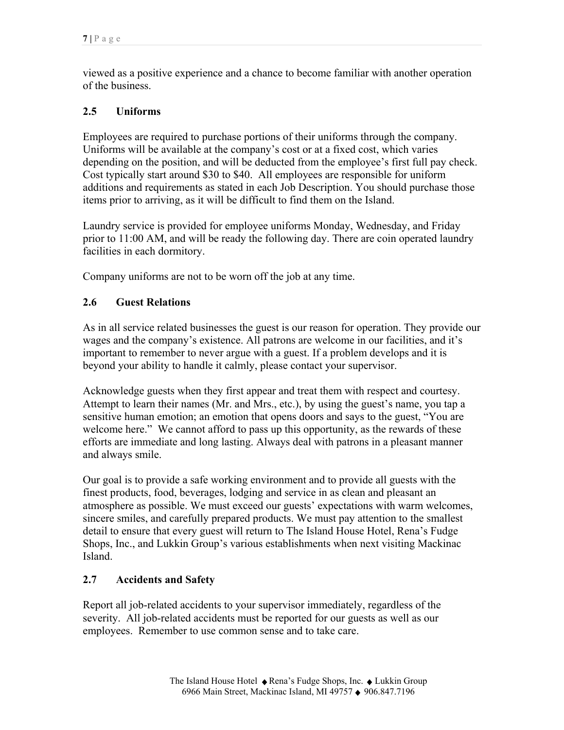viewed as a positive experience and a chance to become familiar with another operation of the business.

# **2.5 Uniforms**

Employees are required to purchase portions of their uniforms through the company. Uniforms will be available at the company's cost or at a fixed cost, which varies depending on the position, and will be deducted from the employee's first full pay check. Cost typically start around \$30 to \$40. All employees are responsible for uniform additions and requirements as stated in each Job Description. You should purchase those items prior to arriving, as it will be difficult to find them on the Island.

Laundry service is provided for employee uniforms Monday, Wednesday, and Friday prior to 11:00 AM, and will be ready the following day. There are coin operated laundry facilities in each dormitory.

Company uniforms are not to be worn off the job at any time.

## **2.6 Guest Relations**

As in all service related businesses the guest is our reason for operation. They provide our wages and the company's existence. All patrons are welcome in our facilities, and it's important to remember to never argue with a guest. If a problem develops and it is beyond your ability to handle it calmly, please contact your supervisor.

Acknowledge guests when they first appear and treat them with respect and courtesy. Attempt to learn their names (Mr. and Mrs., etc.), by using the guest's name, you tap a sensitive human emotion; an emotion that opens doors and says to the guest, "You are welcome here." We cannot afford to pass up this opportunity, as the rewards of these efforts are immediate and long lasting. Always deal with patrons in a pleasant manner and always smile.

Our goal is to provide a safe working environment and to provide all guests with the finest products, food, beverages, lodging and service in as clean and pleasant an atmosphere as possible. We must exceed our guests' expectations with warm welcomes, sincere smiles, and carefully prepared products. We must pay attention to the smallest detail to ensure that every guest will return to The Island House Hotel, Rena's Fudge Shops, Inc., and Lukkin Group's various establishments when next visiting Mackinac Island.

## **2.7 Accidents and Safety**

Report all job-related accidents to your supervisor immediately, regardless of the severity. All job-related accidents must be reported for our guests as well as our employees. Remember to use common sense and to take care.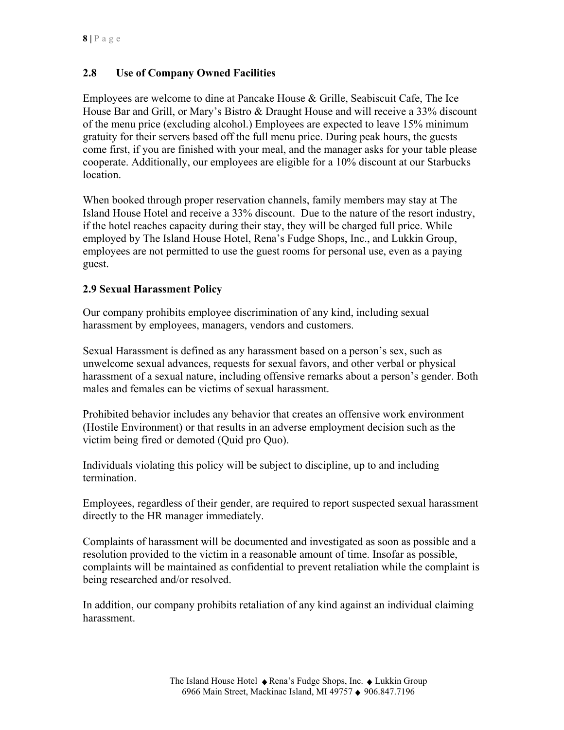## **2.8 Use of Company Owned Facilities**

Employees are welcome to dine at Pancake House & Grille, Seabiscuit Cafe, The Ice House Bar and Grill, or Mary's Bistro & Draught House and will receive a 33% discount of the menu price (excluding alcohol.) Employees are expected to leave 15% minimum gratuity for their servers based off the full menu price. During peak hours, the guests come first, if you are finished with your meal, and the manager asks for your table please cooperate. Additionally, our employees are eligible for a 10% discount at our Starbucks location.

When booked through proper reservation channels, family members may stay at The Island House Hotel and receive a 33% discount. Due to the nature of the resort industry, if the hotel reaches capacity during their stay, they will be charged full price. While employed by The Island House Hotel, Rena's Fudge Shops, Inc., and Lukkin Group, employees are not permitted to use the guest rooms for personal use, even as a paying guest.

#### **2.9 Sexual Harassment Policy**

Our company prohibits employee discrimination of any kind, including sexual harassment by employees, managers, vendors and customers.

Sexual Harassment is defined as any harassment based on a person's sex, such as unwelcome sexual advances, requests for sexual favors, and other verbal or physical harassment of a sexual nature, including offensive remarks about a person's gender. Both males and females can be victims of sexual harassment.

Prohibited behavior includes any behavior that creates an offensive work environment (Hostile Environment) or that results in an adverse employment decision such as the victim being fired or demoted (Quid pro Quo).

Individuals violating this policy will be subject to discipline, up to and including termination.

Employees, regardless of their gender, are required to report suspected sexual harassment directly to the HR manager immediately.

Complaints of harassment will be documented and investigated as soon as possible and a resolution provided to the victim in a reasonable amount of time. Insofar as possible, complaints will be maintained as confidential to prevent retaliation while the complaint is being researched and/or resolved.

In addition, our company prohibits retaliation of any kind against an individual claiming harassment.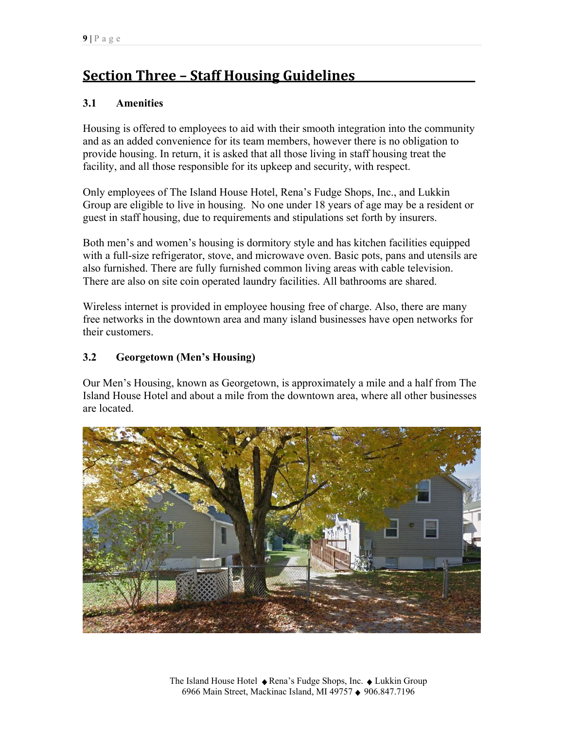# **Section Three – Staff Housing Guidelines\_\_\_\_\_\_\_\_\_\_\_\_\_\_\_\_\_\_\_\_\_\_**

# **3.1 Amenities**

Housing is offered to employees to aid with their smooth integration into the community and as an added convenience for its team members, however there is no obligation to provide housing. In return, it is asked that all those living in staff housing treat the facility, and all those responsible for its upkeep and security, with respect.

Only employees of The Island House Hotel, Rena's Fudge Shops, Inc., and Lukkin Group are eligible to live in housing. No one under 18 years of age may be a resident or guest in staff housing, due to requirements and stipulations set forth by insurers.

Both men's and women's housing is dormitory style and has kitchen facilities equipped with a full-size refrigerator, stove, and microwave oven. Basic pots, pans and utensils are also furnished. There are fully furnished common living areas with cable television. There are also on site coin operated laundry facilities. All bathrooms are shared.

Wireless internet is provided in employee housing free of charge. Also, there are many free networks in the downtown area and many island businesses have open networks for their customers.

# **3.2 Georgetown (Men's Housing)**

Our Men's Housing, known as Georgetown, is approximately a mile and a half from The Island House Hotel and about a mile from the downtown area, where all other businesses are located.

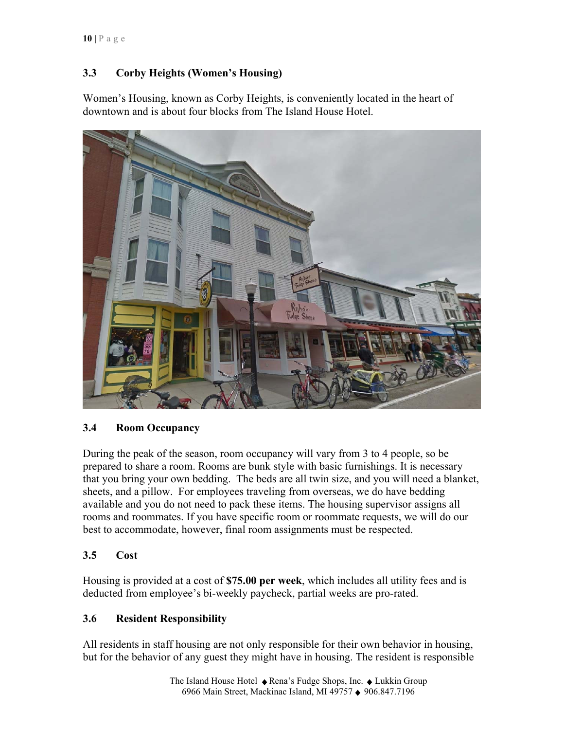# **3.3 Corby Heights (Women's Housing)**

Women's Housing, known as Corby Heights, is conveniently located in the heart of downtown and is about four blocks from The Island House Hotel.



# **3.4 Room Occupancy**

During the peak of the season, room occupancy will vary from 3 to 4 people, so be prepared to share a room. Rooms are bunk style with basic furnishings. It is necessary that you bring your own bedding. The beds are all twin size, and you will need a blanket, sheets, and a pillow. For employees traveling from overseas, we do have bedding available and you do not need to pack these items. The housing supervisor assigns all rooms and roommates. If you have specific room or roommate requests, we will do our best to accommodate, however, final room assignments must be respected.

# **3.5 Cost**

Housing is provided at a cost of **\$75.00 per week**, which includes all utility fees and is deducted from employee's bi-weekly paycheck, partial weeks are pro-rated.

# **3.6 Resident Responsibility**

All residents in staff housing are not only responsible for their own behavior in housing, but for the behavior of any guest they might have in housing. The resident is responsible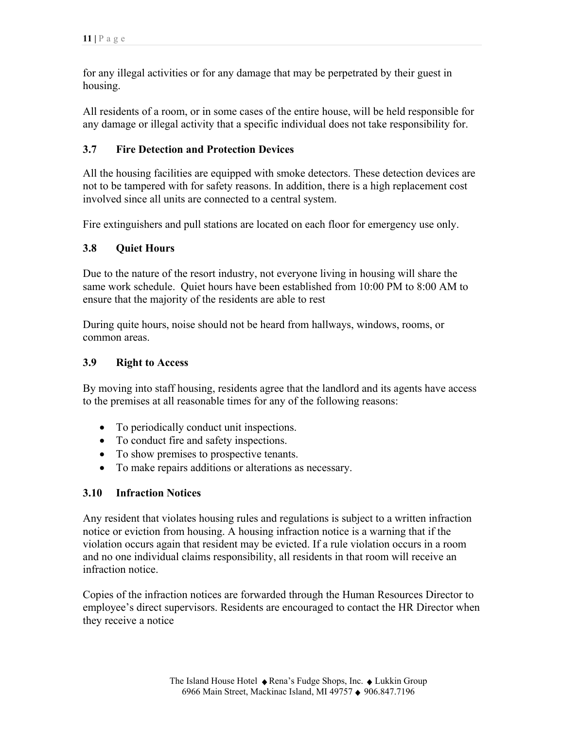for any illegal activities or for any damage that may be perpetrated by their guest in housing.

All residents of a room, or in some cases of the entire house, will be held responsible for any damage or illegal activity that a specific individual does not take responsibility for.

# **3.7 Fire Detection and Protection Devices**

All the housing facilities are equipped with smoke detectors. These detection devices are not to be tampered with for safety reasons. In addition, there is a high replacement cost involved since all units are connected to a central system.

Fire extinguishers and pull stations are located on each floor for emergency use only.

# **3.8 Quiet Hours**

Due to the nature of the resort industry, not everyone living in housing will share the same work schedule. Quiet hours have been established from 10:00 PM to 8:00 AM to ensure that the majority of the residents are able to rest

During quite hours, noise should not be heard from hallways, windows, rooms, or common areas.

#### **3.9 Right to Access**

By moving into staff housing, residents agree that the landlord and its agents have access to the premises at all reasonable times for any of the following reasons:

- To periodically conduct unit inspections.
- To conduct fire and safety inspections.
- To show premises to prospective tenants.
- To make repairs additions or alterations as necessary.

# **3.10 Infraction Notices**

Any resident that violates housing rules and regulations is subject to a written infraction notice or eviction from housing. A housing infraction notice is a warning that if the violation occurs again that resident may be evicted. If a rule violation occurs in a room and no one individual claims responsibility, all residents in that room will receive an infraction notice.

Copies of the infraction notices are forwarded through the Human Resources Director to employee's direct supervisors. Residents are encouraged to contact the HR Director when they receive a notice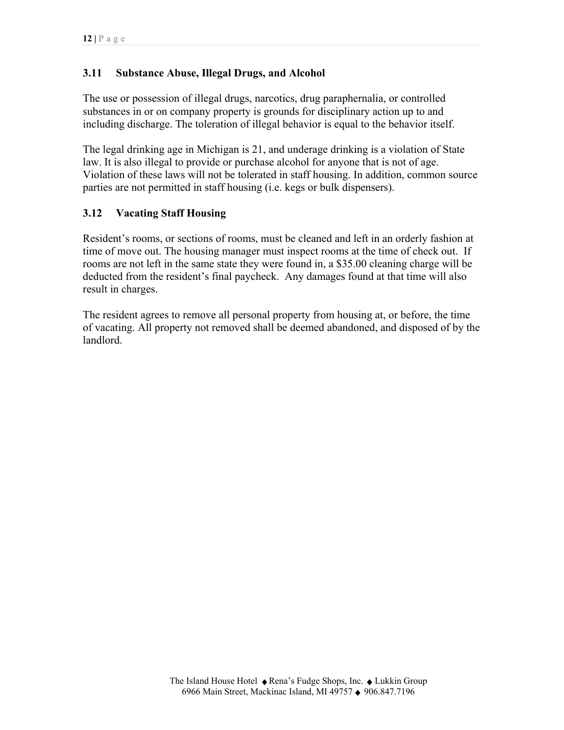## **3.11 Substance Abuse, Illegal Drugs, and Alcohol**

The use or possession of illegal drugs, narcotics, drug paraphernalia, or controlled substances in or on company property is grounds for disciplinary action up to and including discharge. The toleration of illegal behavior is equal to the behavior itself.

The legal drinking age in Michigan is 21, and underage drinking is a violation of State law. It is also illegal to provide or purchase alcohol for anyone that is not of age. Violation of these laws will not be tolerated in staff housing. In addition, common source parties are not permitted in staff housing (i.e. kegs or bulk dispensers).

# **3.12 Vacating Staff Housing**

Resident's rooms, or sections of rooms, must be cleaned and left in an orderly fashion at time of move out. The housing manager must inspect rooms at the time of check out. If rooms are not left in the same state they were found in, a \$35.00 cleaning charge will be deducted from the resident's final paycheck. Any damages found at that time will also result in charges.

The resident agrees to remove all personal property from housing at, or before, the time of vacating. All property not removed shall be deemed abandoned, and disposed of by the landlord.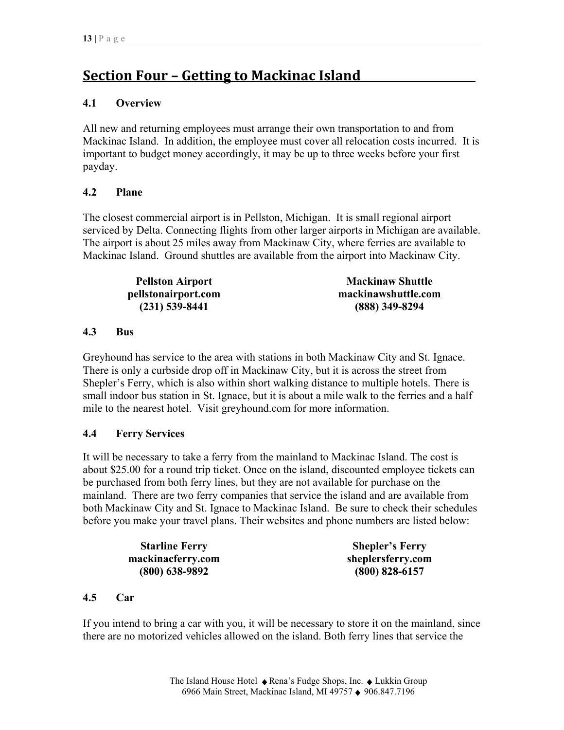# **Section Four – Getting to Mackinac Island\_\_\_\_\_\_\_\_\_\_\_\_\_\_\_\_\_\_\_\_\_**

## **4.1 Overview**

All new and returning employees must arrange their own transportation to and from Mackinac Island. In addition, the employee must cover all relocation costs incurred. It is important to budget money accordingly, it may be up to three weeks before your first payday.

# **4.2 Plane**

The closest commercial airport is in Pellston, Michigan. It is small regional airport serviced by Delta. Connecting flights from other larger airports in Michigan are available. The airport is about 25 miles away from Mackinaw City, where ferries are available to Mackinac Island. Ground shuttles are available from the airport into Mackinaw City.

| <b>Pellston Airport</b> | <b>Mackinaw Shuttle</b> |
|-------------------------|-------------------------|
| pellstonairport.com     | mackinawshuttle.com     |
| $(231)$ 539-8441        | $(888)$ 349-8294        |

## **4.3 Bus**

Greyhound has service to the area with stations in both Mackinaw City and St. Ignace. There is only a curbside drop off in Mackinaw City, but it is across the street from Shepler's Ferry, which is also within short walking distance to multiple hotels. There is small indoor bus station in St. Ignace, but it is about a mile walk to the ferries and a half mile to the nearest hotel. Visit greyhound.com for more information.

## **4.4 Ferry Services**

It will be necessary to take a ferry from the mainland to Mackinac Island. The cost is about \$25.00 for a round trip ticket. Once on the island, discounted employee tickets can be purchased from both ferry lines, but they are not available for purchase on the mainland. There are two ferry companies that service the island and are available from both Mackinaw City and St. Ignace to Mackinac Island. Be sure to check their schedules before you make your travel plans. Their websites and phone numbers are listed below:

| <b>Starline Ferry</b> | <b>Shepler's Ferry</b> |
|-----------------------|------------------------|
| mackinacferry.com     | sheplersferry.com      |
| $(800)$ 638-9892      | $(800)$ 828-6157       |

## **4.5 Car**

If you intend to bring a car with you, it will be necessary to store it on the mainland, since there are no motorized vehicles allowed on the island. Both ferry lines that service the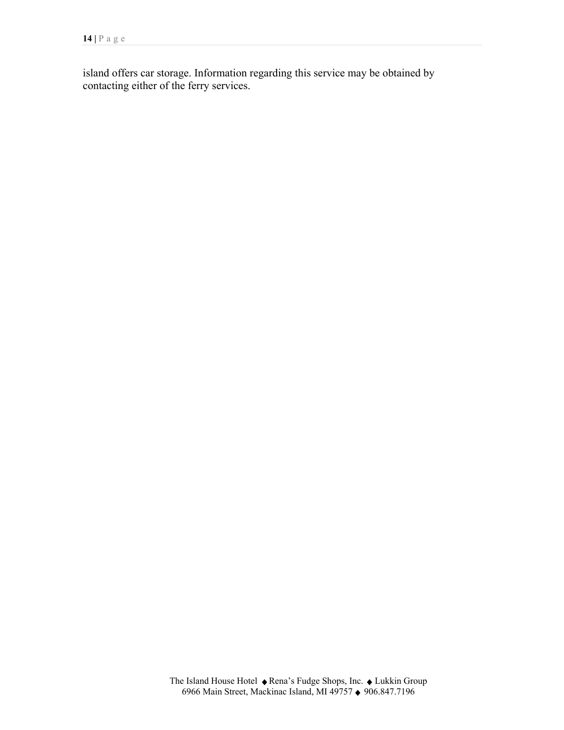island offers car storage. Information regarding this service may be obtained by contacting either of the ferry services.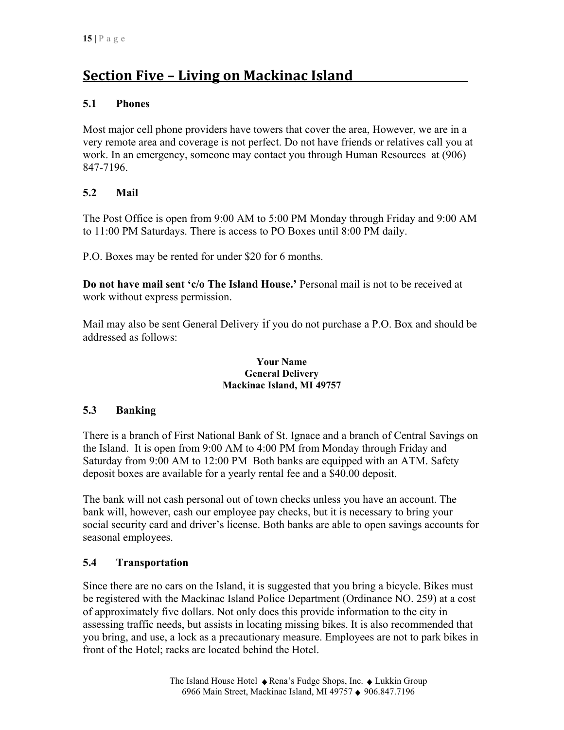# **Section Five – Living on Mackinac Island\_\_\_\_\_\_\_\_\_\_\_\_\_\_\_\_\_\_\_\_\_**

# **5.1 Phones**

Most major cell phone providers have towers that cover the area, However, we are in a very remote area and coverage is not perfect. Do not have friends or relatives call you at work. In an emergency, someone may contact you through Human Resources at (906) 847-7196.

# **5.2 Mail**

The Post Office is open from 9:00 AM to 5:00 PM Monday through Friday and 9:00 AM to 11:00 PM Saturdays. There is access to PO Boxes until 8:00 PM daily.

P.O. Boxes may be rented for under \$20 for 6 months.

**Do not have mail sent 'c/o The Island House.'** Personal mail is not to be received at work without express permission.

Mail may also be sent General Delivery if you do not purchase a P.O. Box and should be addressed as follows:

#### **Your Name General Delivery Mackinac Island, MI 49757**

## **5.3 Banking**

There is a branch of First National Bank of St. Ignace and a branch of Central Savings on the Island. It is open from 9:00 AM to 4:00 PM from Monday through Friday and Saturday from 9:00 AM to 12:00 PM Both banks are equipped with an ATM. Safety deposit boxes are available for a yearly rental fee and a \$40.00 deposit.

The bank will not cash personal out of town checks unless you have an account. The bank will, however, cash our employee pay checks, but it is necessary to bring your social security card and driver's license. Both banks are able to open savings accounts for seasonal employees.

## **5.4 Transportation**

Since there are no cars on the Island, it is suggested that you bring a bicycle. Bikes must be registered with the Mackinac Island Police Department (Ordinance NO. 259) at a cost of approximately five dollars. Not only does this provide information to the city in assessing traffic needs, but assists in locating missing bikes. It is also recommended that you bring, and use, a lock as a precautionary measure. Employees are not to park bikes in front of the Hotel; racks are located behind the Hotel.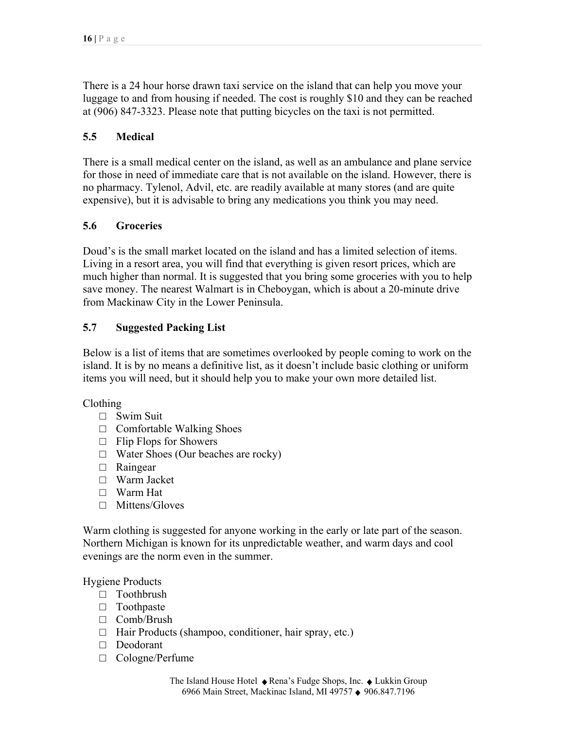There is a 24 hour horse drawn taxi service on the island that can help you move your luggage to and from housing if needed. The cost is roughly \$10 and they can be reached at (906) 847-3323. Please note that putting bicycles on the taxi is not permitted.

# **5.5 Medical**

There is a small medical center on the island, as well as an ambulance and plane service for those in need of immediate care that is not available on the island. However, there is no pharmacy. Tylenol, Advil, etc. are readily available at many stores (and are quite expensive), but it is advisable to bring any medications you think you may need.

## **5.6 Groceries**

Doud's is the small market located on the island and has a limited selection of items. Living in a resort area, you will find that everything is given resort prices, which are much higher than normal. It is suggested that you bring some groceries with you to help save money. The nearest Walmart is in Cheboygan, which is about a 20-minute drive from Mackinaw City in the Lower Peninsula.

## **5.7 Suggested Packing List**

Below is a list of items that are sometimes overlooked by people coming to work on the island. It is by no means a definitive list, as it doesn't include basic clothing or uniform items you will need, but it should help you to make your own more detailed list.

Clothing

- □ Swim Suit
- $\Box$  Comfortable Walking Shoes
- $\Box$  Flip Flops for Showers
- □ Water Shoes (Our beaches are rocky)
- □ Raingear
- □ Warm Jacket
- □ Warm Hat
- □ Mittens/Gloves

Warm clothing is suggested for anyone working in the early or late part of the season. Northern Michigan is known for its unpredictable weather, and warm days and cool evenings are the norm even in the summer.

Hygiene Products

- □ Toothbrush
- □ Toothpaste
- □ Comb/Brush
- □ Hair Products (shampoo, conditioner, hair spray, etc.)
- □ Deodorant
- □ Cologne/Perfume